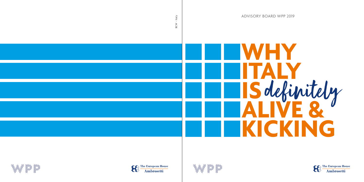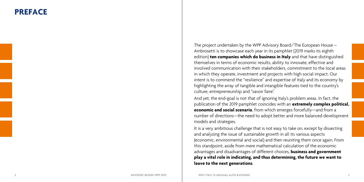## **PREFACE**

The project undertaken by the WPP Advisory Board/The European House – Ambrosetti is to showcase each year in its pamphlet (2019 marks its eighth edition) **ten companies which do business in Italy** and that have distinguished themselves in terms of economic results, ability to innovate, effective and involved communication with their stakeholders, commitment to the local areas in which they operate, investment and projects with high social impact. Our intent is to commend the "resilience" and expertise of Italy and its economy by highlighting the array of tangible and intangible features tied to the country's culture, entrepreneurship and "savoir faire".

And yet, the end-goal is not that of ignoring Italy's problem areas. In fact, the publication of the 2019 pamphlet coincides with an **extremely complex political, economic and social scenario**, from which emerges forcefully—and from a number of directions—the need to adopt better and more balanced development models and strategies.

It is a very ambitious challenge that is not easy to take on, except by dissecting and analyzing the issue of sustainable growth in all its various aspects (economic, environmental and social) and then reuniting them once again. From this standpoint, aside from mere mathematical calculation of the economic advantages and disadvantages of different choices, **business and government play a vital role in indicating, and thus determining, the future we want to leave to the next generations**.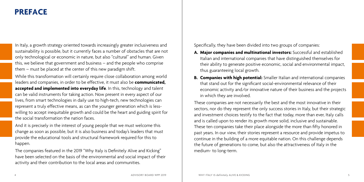## **PREFACE**

In Italy, a growth strategy oriented towards increasingly greater inclusiveness and sustainability is possible, but it currently faces a number of obstacles that are not only technological or economic in nature, but also "cultural" and human. Given this, we believe that government and business – and the people who comprise them – must be placed at the center of this new paradigm shift.

While this transformation will certainly require close collaboration among world leaders and companies, in order to be effective, it must also be **communicated, accepted and implemented into everyday life**. In this, technology and talent can be valid instruments for taking action. Now present in every aspect of our lives, from smart technologies in daily use to high-tech, new technologies can represent a truly effective means, as can the younger generation which is lesswilling to accept inequitable growth and could be the heart and guiding spirit for the social transformation the nation faces.

And it is precisely in the interest of young people that we must welcome this change as soon as possible, but it is also business and today's leaders that must provide the educational tools and structural framework required for this to happen.

The companies featured in the 2019 "Why Italy is Definitely Alive and Kicking" have been selected on the basis of the environmental and social impact of their activity and their contribution to the local areas and communities.

Specifically, they have been divided into two groups of companies:

- **A. Major companies and multinational investors:** Successful and established Italian and international companies that have distinguished themselves for their ability to generate positive economic, social and environmental impact, thus guaranteeing local growth.
- **B. Companies with high potential:** Smaller Italian and international companies that stand out for the significant social-environmental relevance of their economic activity and/or innovative nature of their business and the projects in which they are involved.

These companies are not necessarily the best and the most innovative in their sectors, nor do they represent the only success stories in Italy, but their strategic and investment choices testify to the fact that today, more than ever, Italy calls and is called upon to render its growth more solid, inclusive and sustainable. These ten companies take their place alongside the more than fifty honored in past years. In our view, their stories represent a resource and provide impetus to continue in the building of a more equitable nation. On this challenge depends the future of generations to come, but also the attractiveness of Italy in the medium- to long-term.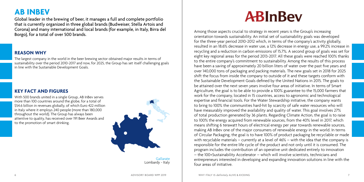## **AB INBEV**

Global leader in the brewing of beer, it manages a full and complete portfolio that is currently organized in three global brands (Budweiser, Stella Artois and Corona) and many international and local brands (for example, in Italy, Birra del Borgo), for a total of over 500 brands.

### **REASON WHY**

The largest company in the world in the beer brewing sector obtained major results in terms of sustainability over the period 2010-2017 and now, for 2025, the Group has set itself challenging goals in line with the Sustainable Development Goals.

### **KEY FACT AND FIGURES**

With 500 brands united in a single Group, AB InBev serves more than 100 countries around the globe, for a total of \$54.6 billion in revenues globally, of which Euro 422 million in Italy where it employs 240 people (more than 180,000 throughout the world). The Group has always been attentive to quality, has received over 191 Beer Awards and to the promotion of smart drinking.



Gallarate Lombardy - Italy

## **ABInBev**

Among those aspects crucial to strategy in recent years is the Group's increasing orientation towards sustainability. An initial set of sustainability goals was developed for the three-year period 2010-2012 which, in terms of the company's activity globally, resulted in an 18.6% decrease in water use, a 12% decrease in energy use, a 99.2% increase in recycling and a reduction in carbon emissions of 15.7%. A second group of goals was set for eight key regional areas for the period 2013-2017. All these goals were reached 100% thanks to the entire company's commitment to sustainability. Among the results of this process have been a saving of approximately 20 billion liters of water over the past five years and over 140,000 tons of packaging and packing materials. The new goals set in 2018 for 2025 shift the focus from inside the company to outside of it and these targets conform with the Sustainable Development Goals defined by the United Nations in 2015. The goals to be attained over the next seven years involve four areas of initiative. In terms of Smart Agriculture, the goal is to be able to provide a 100% guarantee to the 15,000 farmers that work for the company, located in 15 countries, access to agronomic and technological expertise and financial tools. For the Water Stewardship initiative, the company wants to bring to 100% the communities hard-hit by scarcity of safe water resources who will have measurably improved the availability and quality of water. This goal involves 27% of total production generated by 36 plants. Regarding Climate Action, the goal is to raise to 100% the energy acquired from renewable sources, from the 40% level in 2017, which means shifting 6 terawatt hours of electrical energy per year towards renewable sources, making AB InBev one of the major consumers of renewable energy in the world. In terms of Circular Packaging, the goal is to have 100% of product packaging be recyclable or made with recyclable materials – currently at a level of 46% – with the idea that the company is responsible for the entire life cycle of the product and not only until it is consumed. The program includes the contribution of an operative unit dedicated entirely to innovation – the 100+Sustainability Accelerator – which will involve scientists, technicians and entrepreneurs interested in developing and expanding innovation solutions in line with the four areas of initiative.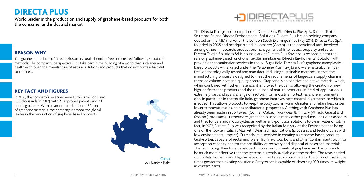## **DIRECTA PLUS**

World leader in the production and supply of graphene-based products for both the consumer and industrial market.

### **REASON WHY**

The graphene products of Directa Plus are natural, chemical-free and created following sustainable methods. The company's perspective is to take part in the building of a world that is cleaner and healthier through the manufacture of natural solutions and products that do not contain harmful substances..

### **KEY FACT AND FIGURES**

In 2018, the company's revenues were Euro 2.3 million (Euro 900 thousands in 2017), with 27 approved patents and 20 pending patents. With an annual production of 30 tons of graphene materials, the company is among the global leader in the production of graphene-based products.



Como Lombardy - Italy



The Directa Plus group is comprised of Directa Plus Plc, Directa Plus SpA, Directa Textile Solutions Srl and Directa Environmental Solutions. Directa Plus Plc is a holding company quoted on the AIM market of the London Stock Exchange since May 2016. Directa Plus SpA, founded in 2005 and headquartered in Lomazzo (Como), is the operational arm, involved among others in research, production, management of intellectual property and sales. Directa Textile Solutions Srl is a subsidiary of Directa Plus SpA and is responsible for the sale of graphene-based functional textile membranes. Directa Enviromental Solution will provide decontamination services in the oil & gas field. Directa Plus's graphene nanoplasticbased products – marketed under the "Graphene Plus" (G+) brand – are natural, chemicalfree, dermatologically tested and manufactured using sustainable methods. In fact, the manufacturing process is designed to meet the requirements of large-scale supply chains in terms of volume, cost and quality control. Graphene is an additive and active material which, when combined with other materials, it improves the quality, allowing the creation of new high-performance products and the re-launch of mature products. Its field of application is extremely vast and spans a range of sectors, from industrial to textiles and environmental one. In particular, in the textile field, graphene improves heat control in garments to which it is added. This allows products to keep the body cool in warm climates and retain heat under lower temperatures; it also has antibacterial properties. Clothing with Graphene Plus has already been made in sportswear (Colmar, Oakley), workwear & military (Alfredo Grassi) and fashion (Loro Piana). Furthermore, graphene is used in many other products, including asphalts and tires for cars and motorcycles, as well as anti-pollution solutions to clean water of oil. In fact, in 2013, Directa Plus was recognized by the Italian Ministry of the Environment as being one of the top-ten Italian SMEs with cleantech applications (processes and technologies with low environmental impact). Currently, it is involved in creating a graphene-based product, Grafysorber, capable of reclaiming water from hydrocarbons and other contaminants both for adsorption capacity and for the possibility of recovery and disposal of adsorbed materials. The technology they have developed involves using sheets of graphene and has proven to be much more effective than the systems currently available on the market. The tests carried out in Italy, Romania and Nigeria have confirmed an absorption rate of the product that is five times greater than existing solutions: Grafysorber is capable of absorbing 100 times its weight in contaminants.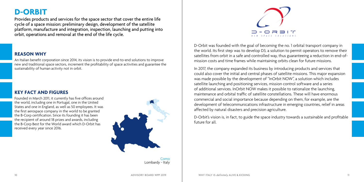**D-ORBIT**

Provides products and services for the space sector that cover the entire life cycle of a space mission: preliminary design, development of the satellite platform, manufacture and integration, inspection, launching and putting into orbit, operations and removal at the end of the life cycle.

### **REASON WHY**

An Italian benefit corporation since 2014, its vision is to provide end-to-end solutions to improve new and traditional space sectors, increment the profitability of space activities and guarantee the sustainability of human activity not in orbit.

### **KEY FACT AND FIGURES**

Founded in March 2011, it currently has five offices around the world, including one in Portugal, one in the United States and one in England, as well as 50 employees. It was the first aerospace company in the world to be granted the B-Corp certification. Since its founding it has been the recipient of around 18 prizes and awards, including the B-Corp Best for the World award which D-Orbit has received every year since 2016.



Como Lombardy - Italy



D-Orbit was founded with the goal of becoming the no. 1 orbital transport company in the world. Its first step was to develop D3, a solution to permit operators to remove their satellites from orbit in a safe and controlled way, thus guaranteeing a reduction in end-ofmission costs and time frames while maintaining orbits clean for future missions.

In 2017, the company expanded its business by introducing products and services that could also cover the initial and central phases of satellite missions. This major expansion was made possible by the development of "InOrbit NOW", a solution which includes satellite launching and positioning services, mission control software and a series of additional services. InOrbit NOW makes it possible to rationalize the launching, maintenance and orbital traffic of satellite constellations. These will have enormous commercial and social importance because depending on them, for example, are the development of telecommunications infrastructure in emerging countries, relief in areas affected by natural disasters and precision agriculture.

D-Orbit's vision is, in fact, to guide the space industry towards a sustainable and profitable future for all.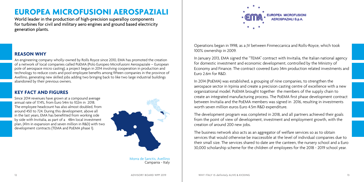## **EUROPEA MICROFUSIONI AEROSPAZIALI**

World leader in the production of high-precision superalloy components for turbines for civil and military aero engines and ground based electricity generation plants.

### **REASON WHY**

An engineering company wholly-owned by Rolls Royce since 2010, EMA has promoted the creation of a network of local companies called PoEMA (Polo Europeo Microfusioni Aerospaziale – European pole of aerospace micro casting), a project begun in 2014 involving cooperation in production and technology to reduce costs and pool employee benefits among fifteen companies in the province of Avellino, generating new skilled jobs adding two bringing back to like two large industrial buildings abandoned by their previous owners.

### **KEY FACT AND FIGURES**

Since 2014 revenues have grown at a compound average annual rate of 17.4%, from Euro 54m to 102m in 2018. The employee headcount has also almost doubled, from around 450 to 724. During this development, above all in the last years, EMA has benefitted from working side by side with Invitalia, as part of a 48m local investment plan, (41m in expansion and seven million in R&D) with two development contracts (TEMA and PoEMA phase 1).



Morra de Sanctis, Avellino Campania - Italy



Operations began in 1998, as a JV between Finmeccanica and Rolls-Royce, which took 100% ownership in 2009.

In January 2013, EMA signed the "TEMA" contract with Invitalia, the Italian national agency for domestic investment and economic development, controlled by the Ministry of Economy and Finance. The contract covered Euro 34m production related investments and Euro 2.6m for R&D.

In 2014 (PoEMA) was established, a grouping of nine companies, to strengthen the aerospace sector in Irpinia and create a precision casting centre of excellence with a new organizational model. PoEMA brought together the members of the supply chain to create an integrated manufacturing process. The PoEMA first phase development contract between Invitalia and the PoEMA members was signed in 2016, resulting in investments worth seven million euros Euro 4.5m R&D expenditure.

The development program was completed in 2018, and all partners achieved their goals from the point of view of development, investment and employment growth, with the creation of around 200 new jobs.

The business network also acts as an aggregator of welfare services so as to obtain services that would otherwise be inaccessible at the level of individual companies due to their small size. The services shared to date are the canteen, the nursery school and a Euro 30,000 scholarship scheme for the children of employees for the 2018 - 2019 school year.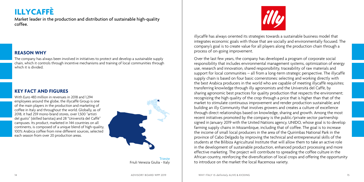## **ILLYCAFFÈ**

Market leader in the production and distribution of sustainable high-quality coffee.

### **REASON WHY**

The company has always been involved in initiatives to protect and develop a sustainable supply chain, which it controls through incentive mechanisms and training of local communities through which it is divided.

### **KEY FACT AND FIGURES**

With Euro 483 million in revenues in 2018 and 1294 employees around the globe, the illycaffè Group is one of the main players in the production and marketing of coffee in Italy and throughout the world. Globally, as of 2018, it had 259 mono-brand stores, over 1,500 "artisti del gusto" (skilled baristas) and 28 "Università del Caffè" campuses. Its product, marketed in 144 countries on all continents, is composed of a unique blend of high-quality, 100% Arabica coffee from nine different sources, selected each season from over 20 production areas.



Trieste Friuli Venezia Giulia - Italy



illycaffè has always oriented its strategies towards a sustainable business model that integrates economic goals with those that are socially and environmentally focused. The company's goal is to create value for all players along the production chain through a process of on-going improvement.

Over the last few years, the company has developed a program of corporate social responsibility that includes environmental management systems, optimization of energy use, research and innovation, shared responsibility, traceability of raw materials and support for local communities – all from a long-term strategic perspective. The illycaffè supply chain is based on four basic cornerstones: selecting and working directly with the best Arabica producers in the world who are capable of meeting illycaffè requisites; transferring knowledge through illy agronomists and the Università del Caffè, by sharing agronomic best practices for quality production that respects the environment; recognizing the high quality of the crop through a price that is higher than that of the market to stimulate continuous improvement and render production sustainable; and building an illy Community that involves growers and creates a culture of excellence through direct relationships based on knowledge, sharing and growth. Among the most recent initiatives promoted by the company is the public/private sector partnership signed in January 2019 with the United Nations agency, UNIDO, whose goal is to develop farming supply chains in Mozambique, including that of coffee. The goal is to increase the income of small local producers in the area of the Quirimbas National Park in the province of Cabo Delgado by improving the technical and entrepreneurial skills of the students at the Bilibiza Agricultural Institute that will allow them to take an active role in the development of sustainable production, enhanced product processing and more effective marketing. The project will contribute to spreading the coffee culture in the African country, reinforcing the diversification of local crops and offering the opportunity to introduce on the market the local Racemosa variety.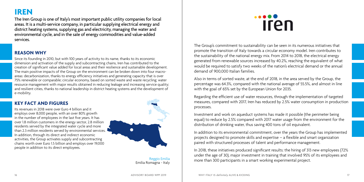**IREN**

The Iren Group is one of Italy's most important public utility companies for local areas. It is a multi-service company, in particular supplying electrical energy and district heating systems, supplying gas and electricity, managing the water and environmental cycle, and in the sale of energy commodities and value-added services.

### **REASON WHY**

Since its founding in 2010, but with 100 years of activity to its name, thanks to its economic dimension and activation of the supply and subcontracting chains, Iren has contributed to the creation of significant value added for local areas and their resilience and sustainable development. The main positive impacts of the Group on the environment can be broken down into four macroareas: decarbonization, thanks to energy efficiency initiatives and generating capacity that is over 75% renewable or comparable; circular economy, based on sorted waste and waste recycling; water resource management with major results obtained in reducing leakage and increasing service quality; and resilient cities, thanks to national leadership in district heating systems and the development of e-mobility.

### **KEY FACT AND FIGURES**

Its revenues in 2018 were over Euro 4 billion and it employs over 8,000 people, with an over 80% growth in the number of employees in the last five years. It has over 1.8 million customers in the energy sector, 2.8 million residents served by the integrated water cycle and more than 2.3 million residents served by environmental services. In addition, through its direct and indirect economic activities, the Group activates supply and subcontracting chains worth over Euro 1.5 billion and employs over 19,000 people in addition to its direct employees.



Reggio Emilia Emilia Romagna - Italy

## **Iren**

The Group's commitment to sustainability can be seen in its numerous initiatives that promote the transition of Italy towards a circular economy model. Iren contributes to the sustainability of the national energy mix. From 2014 to 2018, the electrical energy generated from renewable sources increased by 40.2%, reaching the equivalent of what would be required to satisfy two weeks of the nation's electrical demand or the annual demand of 900,000 Italian families.

Also in terms of sorted waste, at the end of 2018, in the area served by the Group, the percentage was 64.3%, compared with the national average of 55.5%, and almost in line with the goal of 65% set by the European Union for 2035.

Regarding the efficient use of water resources, through the implementation of targeted measures, compared with 2017, Iren has reduced by 2.5% water consumption in production processes.

Investment and work on aqueduct systems has made it possible (the perimeter being equal) to reduce by 2.5% compared with 2017 water usage from the environment for the distribution of drinking water, thus saving 400 tons of oil equivalent.

In addition to its environmental commitment, over the years the Group has implemented projects designed to promote skills and expertise – a flexible and smart organization paired with structured processes of talent and performance management.

In 2018, these initiatives produced significant results: the hiring of 313 new employees (72% under the age of 30), major investment in training that involved 95% of its employees and more than 300 participants in a smart working experimental project.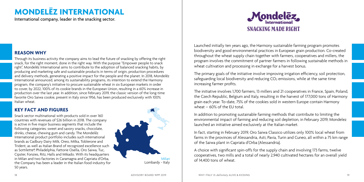## **MONDELEZ INTERNATIONAL**

International company, leader in the snacking sector.

# **SNACKING MADE RIGHT**

Launched initially ten years ago, the Harmony sustainable farming program promotes biodiversity and good environmental practices in European grain production. Co-created throughout the wheat supply chain together with farmers, cooperatives and millers, the program involves the commitment of partner farmers in following sustainable methods in wheat cultivation and processing in exchange for a harvest bonus.

The primary goals of the initiative involve improving irrigation efficiency, soil protection, safeguarding local biodiversity and reducing  $CO<sub>2</sub>$  emissions, while at the same time increasing farmer profits.

The initiative involves 1,700 farmers, 13 millers and 21 cooperatives in France, Spain, Poland, the Czech Republic, Belgium and Italy, resulting in the harvest of 177,000 tons of Harmony grain each year. To-date, 75% of the cookies sold in western Europe contain Harmony wheat  $-60\%$  of the EU total.

In addition to promoting sustainable farming methods that contribute to limiting the environmental impact of farming and reducing soil depletion, in February 2019, Mondelez launched an initiative aimed exclusively at the Italian market.

In fact, starting in February 2019, Oro Saiwa Classico utilizes only 100% local wheat from farms in the provinces of Alessandria, Asti, Pavia, Turin and Cuneo, all within a 75 km range of the Saiwa plant in Capriata d'Orba (Alessandria).

A choice with significant spin-offs for the supply chain and involving 173 farms, twelve cooperatives, two mills and a total of nearly 2,940 cultivated hectares for an overall yield of 14,400 tons of wheat.

### **REASON WHY**

Through its business activity the company aims to lead the future of snacking by offering the right snack, for the right moment, done in the right way. With the purpose "Empower people to snack right", Mondelez International aims to contribute to the adoption of balanced snacking habits, by ¯ producing and marketing safe and sustainable products in terms of origin, production procedures and delivery methods, generating a positive impact for the people and the planet. In 2018, Mondelez ¯International announced, among its sustainability programs, its intention to extend the Harmony program, the company's initiative to procure sustainable wheat in six European markets in order to cover, by 2022, 100% of its cookie brands in the European Union, resulting in a 60% increase in production over the last year. In addition, since February 2019, the classic version of the long-time favorite Oro Saiwa cookie, present in Italy since 1956, has been produced exclusively with 100% Italian wheat.

### **KEY FACT AND FIGURES**

Snack sector multinational with products sold in over 160 countries with revenues of \$26 billion in 2018. The company is active in five major business segments that include the following categories: sweet and savory snacks, chocolate, drinks, cheese, chewing gum and candy. The Mondelēz International product portfolio includes such international brands as Cadbury Dairy Milk, Oreo, Milka, Toblerone and Trident, as well as Italian Brand of recognized excellence such as Sottilette®, Philadelphia, Fattorie Osella, Oro Saiwa, Tuc, Cipster, Fonzies, Ritz, Halls and Mikado. With its headquarters in Milan and two factories in Caramagna and Capriata d'Orba, the Company has been a leader in the Italian food industry for 50 years.

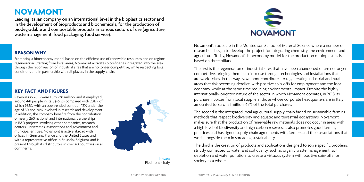## **NOVAMONT**

Leading Italian company on an international level in the bioplastics sector and in the development of bioproducts and biochemicals, for the production of biodegradable and compostable products in various sectors of use (agriculture, waste management, food packaging, food service).

### **REASON WHY**

Promoting a bioeconomy model based on the efficient use of renewable resources and on regional regeneration. Starting from local areas, Novamont activates biorefineries integrated into the area through the reconversion of industrial sites that are no longer competitive, while respecting local conditions and in partnership with all players in the supply chain.

### **KEY FACT AND FIGURES**

Revenues in 2018 were Euro 238 million, and it employed around 441 people in Italy (+5.5% compared with 2017), of which 95.5% with an open-ended contract, 12% under the age of 30 and 20% involved in research and development. In addition, the company benefits from the contribution of nearly 260 national and international partnerships in R&D projects involving other companies, research centers, universities, associations and government and municipal entities. Novamont is active abroad with offices in Germany, France and the United States and with a representative office in Brussels (Belgium), and is present through its distributors in over 40 countries on all continents.



Piedmont - Italy



Novamont's roots are in the Montedison School of Material Science where a number of researchers began to develop the project for integrating chemistry, the environment and agriculture. Today, Novamont's bioeconomy model for the production of bioplastics is based on three pillars.

The first is the regeneration of industrial sites that have been abandoned or are no longer competitive, bringing them back into use through technologies and installations that are world-class. In this way, Novamont contributes to regenerating industrial and rural areas that risk becoming derelict, with positive spin-offs for employment and the local economy, while at the same time reducing environmental impact. Despite the highly internationally-oriented nature of the sector in which Novamont operates, in 2018 its purchase invoices from local suppliers (those whose corporate headquarters are in Italy) amounted to Euro 121 million, 62% of the total purchases.

The second is the integrated local agricultural supply chain based on sustainable farming methods that respect biodiversity and aquatic and terrestrial ecosystems. Novamont makes sure that the production of renewable raw materials does not occur in areas with a high level of biodiversity and high carbon reserves. It also promotes good farming practices and has signed supply chain agreements with farmers and their associations that work alongside them in spreading sustainability.

The third is the creation of products and applications designed to solve specific problems strictly connected to water and soil quality, such as organic waste management, soil depletion and water pollution, to create a virtuous system with positive spin-offs for  $S_{\text{1}}$  society as a whole.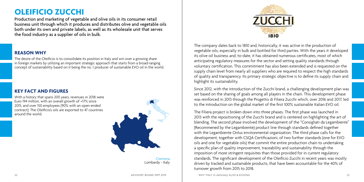## **OLEIFICIO ZUCCHI**

Production and marketing of vegetable and olive oils in its consumer retail business unit through which it produces and distributes olive and vegetable oils both under its own and private labels, as well as its wholesale unit that serves the food industry as a supplier of oils in bulk.

### **REASON WHY**

The desire of the Oleificio is to consolidate its position in Italy and win over a growing share in foreign markets by utilizing an important strategic approach that starts from a broad-ranging concept of sustainability based on it being the no. 1 producer of sustainable EVO oil in the world.

### **KEY FACT AND FIGURES**

With a history that spans 200 years, revenues in 2018 were Euro 194 million, with an overall growth of +17% since 2015, and over 150 employees (90% with an open-ended contract). The Oleificio's oils are exported to 47 countries around the world.



Cremona Lombardy - Italy



The company dates back to 1810 and, historically, it was active in the production of vegetable oils, especially in bulk and bottled for third parties. With the years it developed its olive oil business and, to-date, it has obtained numerous certificates, most of which anticipating regulatory measures for the sector and setting quality standards through voluntary certification. This commitment has also been extended and is requested on the supply chain level from nearly all suppliers who are required to respect the high standards of quality and transparency. Its primary strategic objective is to define its supply chain and highlight its sustainability.

Since 2012, with the introduction of the Zucchi brand, a challenging development plan was set based on the sharing of goals among all players in the chain. This development phase was reinforced in 2013 through the Progetto di Filiera Zucchi which, over 2016 and 2017, led to the introduction on the global market of the first 100% sustainable Italian EVO oil.

The Filiera project is broken down into three phases. The first phase was launched in 2013 with the repositioning of the Zucchi brand and is centered on highlighting the art of blending. The second phase involved the development of the "Consigliati da Legambiente" (Recommened by the Legambiente) product line through standards defined together with the Legambiente Onlus environmental organization. The third phase calls for the development, together with CSQA Certificazioni, of two further standards (one for EVO oils and one for vegetable oils) that commit the entire production chain to undertaking a specific plan of quality improvement, traceability and sustainability through the imposition of more stringent requisites than those provided for in current regulatory standards. The significant development of the Oleificio Zucchi in recent years was mostly driven by tracked and sustainable products, that have been accountable for the 40% of turnover growth from 2015 to 2018.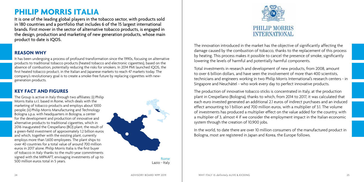## **PHILIP MORRIS ITALIA**

It is one of the leading global players in the tobacco sector, with products sold in 180 countries and a portfolio that includes 6 of the 15 largest international brands. First mover in the sector of alternative tobacco products, is engaged in the design, production and marketing of new generation products, whose main product to date is IQOS.

### **REASON WHY**

It has been undergoing a process of profound transformation since the 1990s, focusing on alternative products to traditional tobacco products (heated tobacco and electronic cigarettes), based on the absence of combustion, potentially reducing the risks for smokers. In 2014 PMI launched IQOS, the first heated tobacco product, in the Italian and Japanese markets to reach 47 markets today. The company's revolutionary goal is to create a smoke-free future by replacing cigarettes with newgeneration products.

### **KEY FACT AND FIGURES**

The Group is active in Italy through two affiliates: (i) Philip Morris Italia s.r.l. based in Rome, which deals with the marketing of tobacco products and employs about 1000 people; (ii) Philip Morris Manufacturing and Technology Bologna s.p.a. with headquarters in Bologna, a center for the development and production of innovative and alternative products to traditional cigarettes, which in 2016 inaugurated the Crespellano (BO) plant, the result of a green-field investment of approximately 1.2 billion euros and which, together with the existing plant, currently employs more than 1,600 employees. The plant ships to over 40 countries for a total value of around 700 million euros in 2017 alone. Philip Morris Italia is the first buyer of tobacco in Italy thanks to the multi-year commitments signed with the MIPAAFT, envisaging investments of up to 500 million euros total in 5 years.



Rome Lazio - Italy



The innovation introduced in the market has the objective of significantly affecting the damage caused by the combustion of tobacco, thanks to the replacement of this process by heating. This process makes it possible to cancel the presence of smoke, significantly lowering the levels of harmful and potentially harmful components.

Total investments in research and development of new products, from 2008, amount to over 6 billion dollars, and have seen the involvement of more than 400 scientists, technicians and engineers working in two Philip Morris International's research centers - in Singapore and Neuchâtel - who work every day to perfect innovative products.

The production of innovative tobacco sticks is concentrated in Italy, at the production plant in Crespellano (Bologna), thanks to which, from 2014 to 2017, it was calculated that each euro invested generated an additional 2.1 euros of indirect purchases and an induced effect amounting to 1 billion and 700 million euros, with a multiplier of 3.1. The volume of investments has produced a multiplier effect on the value added for the country, with a multiplier of 3, almost 4 if we consider the employment impact in the Italian economic system through the creation of 10,900 jobs.

In the world, to date there are over 10 million consumers of the manufactured product in Bologna, most are registered in Japan and Korea, the Europe follows.